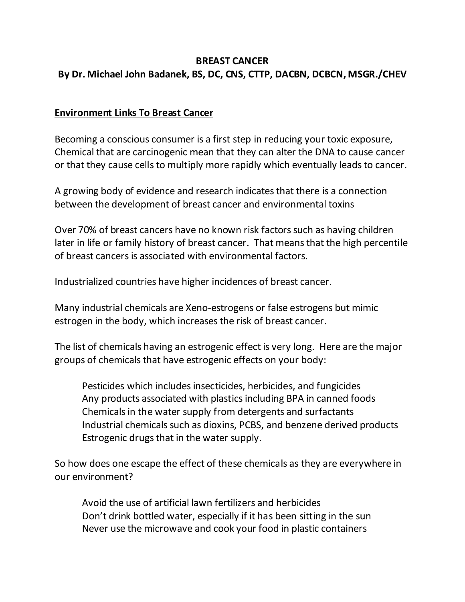# **BREAST CANCER By Dr. Michael John Badanek, BS, DC, CNS, CTTP, DACBN, DCBCN, MSGR./CHEV**

### **Environment Links To Breast Cancer**

Becoming a conscious consumer is a first step in reducing your toxic exposure, Chemical that are carcinogenic mean that they can alter the DNA to cause cancer or that they cause cells to multiply more rapidly which eventually leads to cancer.

A growing body of evidence and research indicates that there is a connection between the development of breast cancer and environmental toxins

Over 70% of breast cancers have no known risk factors such as having children later in life or family history of breast cancer. That means that the high percentile of breast cancers is associated with environmental factors.

Industrialized countries have higher incidences of breast cancer.

Many industrial chemicals are Xeno-estrogens or false estrogens but mimic estrogen in the body, which increases the risk of breast cancer.

The list of chemicals having an estrogenic effect is very long. Here are the major groups of chemicals that have estrogenic effects on your body:

Pesticides which includes insecticides, herbicides, and fungicides Any products associated with plastics including BPA in canned foods Chemicals in the water supply from detergents and surfactants Industrial chemicals such as dioxins, PCBS, and benzene derived products Estrogenic drugs that in the water supply.

So how does one escape the effect of these chemicals as they are everywhere in our environment?

Avoid the use of artificial lawn fertilizers and herbicides Don't drink bottled water, especially if it has been sitting in the sun Never use the microwave and cook your food in plastic containers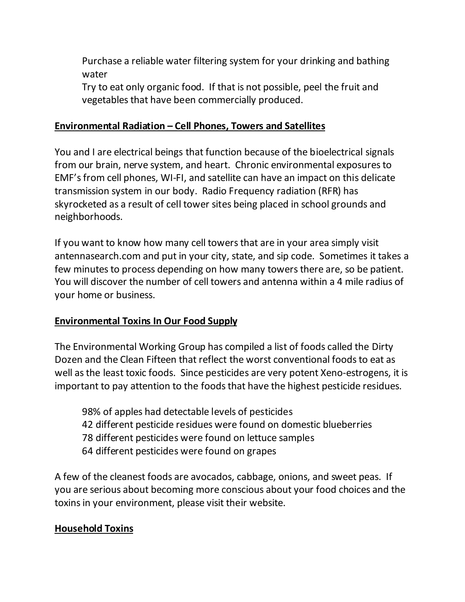Purchase a reliable water filtering system for your drinking and bathing water

Try to eat only organic food. If that is not possible, peel the fruit and vegetables that have been commercially produced.

# **Environmental Radiation – Cell Phones, Towers and Satellites**

You and I are electrical beings that function because of the bioelectrical signals from our brain, nerve system, and heart. Chronic environmental exposures to EMF's from cell phones, WI-FI, and satellite can have an impact on this delicate transmission system in our body. Radio Frequency radiation (RFR) has skyrocketed as a result of cell tower sites being placed in school grounds and neighborhoods.

If you want to know how many cell towers that are in your area simply visit antennasearch.com and put in your city, state, and sip code. Sometimes it takes a few minutes to process depending on how many towers there are, so be patient. You will discover the number of cell towers and antenna within a 4 mile radius of your home or business.

### **Environmental Toxins In Our Food Supply**

The Environmental Working Group has compiled a list of foods called the Dirty Dozen and the Clean Fifteen that reflect the worst conventional foods to eat as well as the least toxic foods. Since pesticides are very potent Xeno-estrogens, it is important to pay attention to the foods that have the highest pesticide residues.

- 98% of apples had detectable levels of pesticides 42 different pesticide residues were found on domestic blueberries
- 78 different pesticides were found on lettuce samples
- 64 different pesticides were found on grapes

A few of the cleanest foods are avocados, cabbage, onions, and sweet peas. If you are serious about becoming more conscious about your food choices and the toxins in your environment, please visit their website.

# **Household Toxins**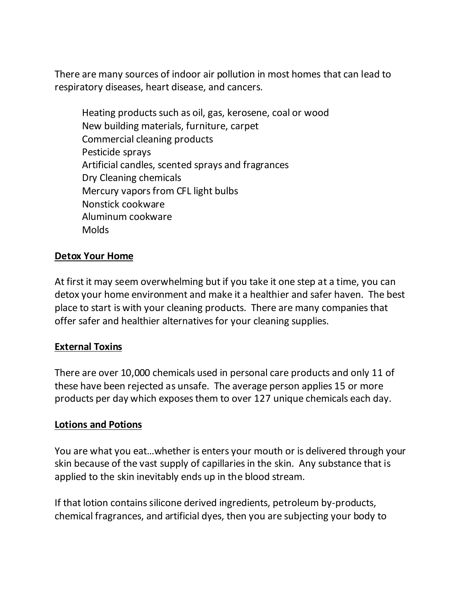There are many sources of indoor air pollution in most homes that can lead to respiratory diseases, heart disease, and cancers.

Heating products such as oil, gas, kerosene, coal or wood New building materials, furniture, carpet Commercial cleaning products Pesticide sprays Artificial candles, scented sprays and fragrances Dry Cleaning chemicals Mercury vapors from CFL light bulbs Nonstick cookware Aluminum cookware **Molds** 

### **Detox Your Home**

At first it may seem overwhelming but if you take it one step at a time, you can detox your home environment and make it a healthier and safer haven. The best place to start is with your cleaning products. There are many companies that offer safer and healthier alternatives for your cleaning supplies.

### **External Toxins**

There are over 10,000 chemicals used in personal care products and only 11 of these have been rejected as unsafe. The average person applies 15 or more products per day which exposes them to over 127 unique chemicals each day.

#### **Lotions and Potions**

You are what you eat…whether is enters your mouth or is delivered through your skin because of the vast supply of capillaries in the skin. Any substance that is applied to the skin inevitably ends up in the blood stream.

If that lotion contains silicone derived ingredients, petroleum by-products, chemical fragrances, and artificial dyes, then you are subjecting your body to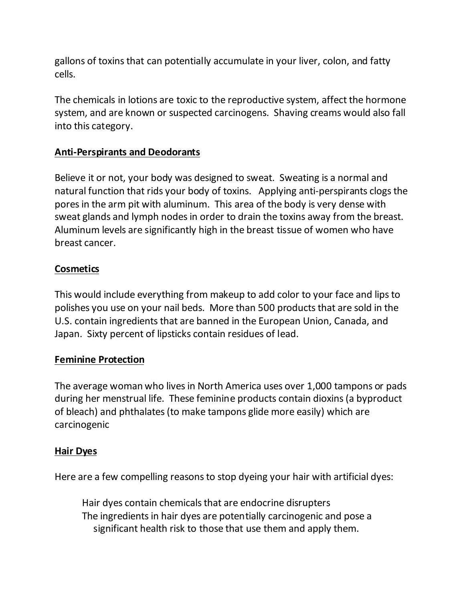gallons of toxins that can potentially accumulate in your liver, colon, and fatty cells.

The chemicals in lotions are toxic to the reproductive system, affect the hormone system, and are known or suspected carcinogens. Shaving creams would also fall into this category.

# **Anti-Perspirants and Deodorants**

Believe it or not, your body was designed to sweat. Sweating is a normal and natural function that rids your body of toxins. Applying anti-perspirants clogs the pores in the arm pit with aluminum. This area of the body is very dense with sweat glands and lymph nodes in order to drain the toxins away from the breast. Aluminum levels are significantly high in the breast tissue of women who have breast cancer.

# **Cosmetics**

This would include everything from makeup to add color to your face and lips to polishes you use on your nail beds. More than 500 products that are sold in the U.S. contain ingredients that are banned in the European Union, Canada, and Japan. Sixty percent of lipsticks contain residues of lead.

### **Feminine Protection**

The average woman who lives in North America uses over 1,000 tampons or pads during her menstrual life. These feminine products contain dioxins (a byproduct of bleach) and phthalates (to make tampons glide more easily) which are carcinogenic

### **Hair Dyes**

Here are a few compelling reasons to stop dyeing your hair with artificial dyes:

Hair dyes contain chemicals that are endocrine disrupters The ingredients in hair dyes are potentially carcinogenic and pose a significant health risk to those that use them and apply them.